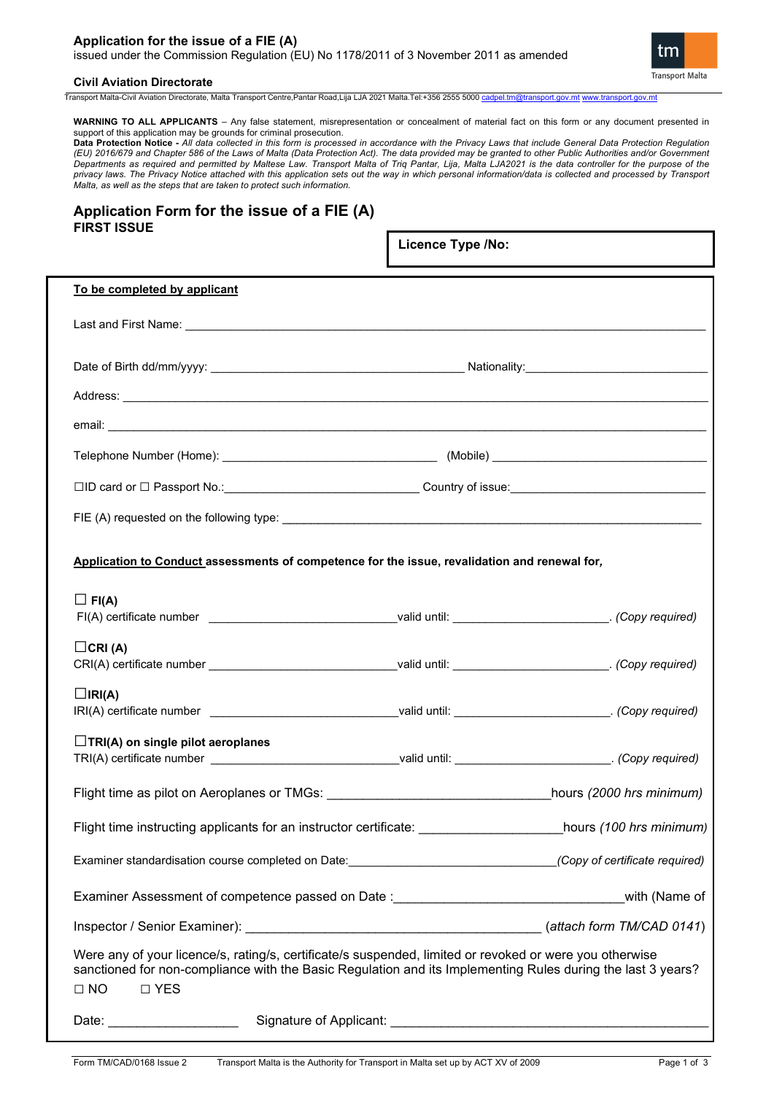## **Application for the issue of a FIE (A)** issued under the Commission Regulation (EU) No 1178/2011 of 3 November 2011 as amended



#### **Civil Aviation Directorate**

Transport Malta-Civil Aviation Directorate, Malta Transport Centre,Pantar Road,Lija LJA 2021 Malta.Tel:+356 2555 5000 [cadpel.tm@transport.gov.mt](mailto:cadpel.tm@transport.gov.mt) [www.transport.gov.mt](http://www.transport.gov.mt/)

**WARNING TO ALL APPLICANTS** – Any false statement, misrepresentation or concealment of material fact on this form or any document presented in support of this application may be grounds for criminal prosecution.

**Data Protection Notice -** *All data collected in this form is processed in accordance with the Privacy Laws that include General Data Protection Regulation (EU) 2016/679 and Chapter 586 of the Laws of Malta (Data Protection Act). The data provided may be granted to other Public Authorities and/or Government Departments as required and permitted by Maltese Law. Transport Malta of Triq Pantar, Lija, Malta LJA2021 is the data controller for the purpose of the privacy laws. The Privacy Notice attached with this application sets out the way in which personal information/data is collected and processed by Transport Malta, as well as the steps that are taken to protect such information.*

## **Application Form for the issue of a FIE (A) FIRST ISSUE**

**Licence Type /No:** 

| To be completed by applicant                                                                                                                                                                                                                         |                                                                                                                |                          |  |  |  |
|------------------------------------------------------------------------------------------------------------------------------------------------------------------------------------------------------------------------------------------------------|----------------------------------------------------------------------------------------------------------------|--------------------------|--|--|--|
|                                                                                                                                                                                                                                                      |                                                                                                                |                          |  |  |  |
|                                                                                                                                                                                                                                                      |                                                                                                                |                          |  |  |  |
|                                                                                                                                                                                                                                                      |                                                                                                                |                          |  |  |  |
|                                                                                                                                                                                                                                                      |                                                                                                                |                          |  |  |  |
|                                                                                                                                                                                                                                                      |                                                                                                                |                          |  |  |  |
|                                                                                                                                                                                                                                                      | □ID card or □ Passport No.:__________________________________Country of issue:________________________________ |                          |  |  |  |
|                                                                                                                                                                                                                                                      |                                                                                                                |                          |  |  |  |
| Application to Conduct assessments of competence for the issue, revalidation and renewal for,                                                                                                                                                        |                                                                                                                |                          |  |  |  |
| $\Box$ FI(A)<br>FI(A) certificate number _________________________________valid until: __________________________. (Copy required)                                                                                                                   |                                                                                                                |                          |  |  |  |
| $\Box$ CRI(A)<br>CRI(A) certificate number __________________________________valid until: __________________________. (Copy required)                                                                                                                |                                                                                                                |                          |  |  |  |
| $\Box$ IRI(A)<br>IRI(A) certificate number _________________________________valid until: ___________________________. (Copy required)                                                                                                                |                                                                                                                |                          |  |  |  |
| $\Box$ TRI(A) on single pilot aeroplanes<br>TRI(A) certificate number _________________________________valid until: ____________________________(Copy required)                                                                                      |                                                                                                                |                          |  |  |  |
|                                                                                                                                                                                                                                                      |                                                                                                                | hours (2000 hrs minimum) |  |  |  |
| Flight time instructing applicants for an instructor certificate: _______________________hours (100 hrs minimum)                                                                                                                                     |                                                                                                                |                          |  |  |  |
| Examiner standardisation course completed on Date: _______________________________(Copy of certificate required)                                                                                                                                     |                                                                                                                |                          |  |  |  |
|                                                                                                                                                                                                                                                      |                                                                                                                |                          |  |  |  |
|                                                                                                                                                                                                                                                      |                                                                                                                |                          |  |  |  |
| Were any of your licence/s, rating/s, certificate/s suspended, limited or revoked or were you otherwise<br>sanctioned for non-compliance with the Basic Regulation and its Implementing Rules during the last 3 years?<br>$\Box$ NO<br>$\square$ YES |                                                                                                                |                          |  |  |  |
| Date: _______________________                                                                                                                                                                                                                        |                                                                                                                |                          |  |  |  |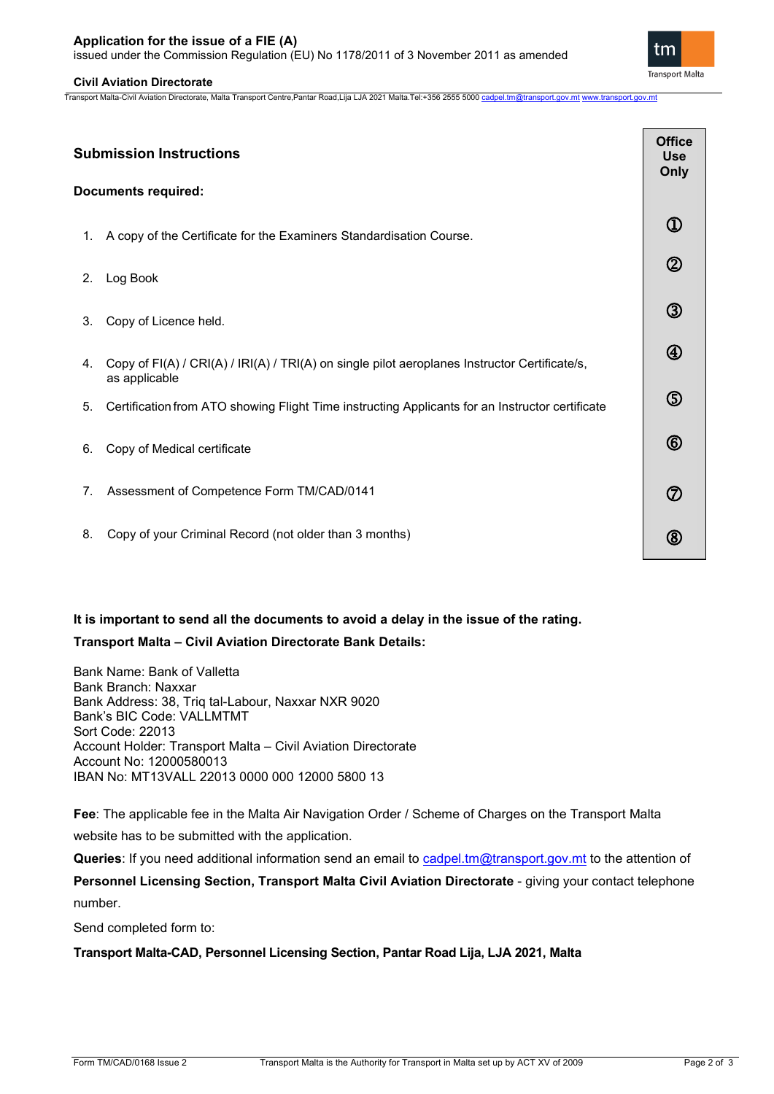# **Application for the issue of a FIE (A)**

issued under the Commission Regulation (EU) No 1178/2011 of 3 November 2011 as amended

## **Civil Aviation Directorate**

**Submission Instructions**

as applicable

**Documents required:**

Transport Malta-Civil Aviation Directorate, Malta Transport Centre,Pantar Road,Lija LJA 2021 Malta.Tel:+356 2555 5000 [cadpel.tm@transport.gov.mt](mailto:cadpel.tm@transport.gov.mt) [www.transport.gov.mt](http://www.transport.gov.mt/)

| <b>ubmission Instructions</b> |                                                                                                                 | <b>Office</b><br><b>Use</b><br>Only |  |
|-------------------------------|-----------------------------------------------------------------------------------------------------------------|-------------------------------------|--|
|                               | ocuments required:                                                                                              |                                     |  |
|                               | 1. A copy of the Certificate for the Examiners Standardisation Course.                                          | $\textcircled{\scriptsize{1}}$      |  |
| 2.                            | Log Book                                                                                                        | $^{\circledR}$                      |  |
|                               | 3. Copy of Licence held.                                                                                        | $^\circledR$                        |  |
| 4.                            | Copy of FI(A) / CRI(A) / IRI(A) / TRI(A) on single pilot aeroplanes Instructor Certificate/s,<br>aa annliaahla. | $^\circledR$                        |  |

- 5. Certification from ATO showing Flight Time instructing Applicants for an Instructor certificate
- 6. Copy of Medical certificate
- 7. Assessment of Competence Form TM/CAD/0141
- 8. Copy of your Criminal Record (not older than 3 months)

# **It is important to send all the documents to avoid a delay in the issue of the rating. Transport Malta – Civil Aviation Directorate Bank Details:**

Bank Name: Bank of Valletta Bank Branch: Naxxar Bank Address: 38, Triq tal-Labour, Naxxar NXR 9020 Bank's BIC Code: VALLMTMT Sort Code: 22013 Account Holder: Transport Malta – Civil Aviation Directorate Account No: 12000580013 IBAN No: MT13VALL 22013 0000 000 12000 5800 13

**Fee**: The applicable fee in the Malta Air Navigation Order / Scheme of Charges on the Transport Malta website has to be submitted with the application.

**Queries**: If you need additional information send an email to [cadpel.tm@transport.gov.mt](mailto:cadpel.tm@transport.gov.mt) to the attention of

Personnel Licensing Section, Transport Malta Civil Aviation Directorate - giving your contact telephone number.

Send completed form to:

**Transport Malta-CAD, Personnel Licensing Section, Pantar Road Lija, LJA 2021, Malta**



 $\circledS$ 

 $\circled6$ 

 $\circledD$ 

 $\circledR$